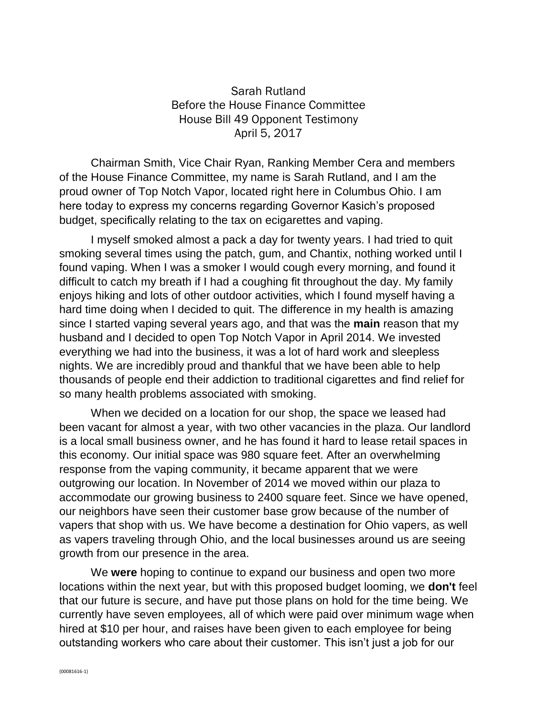## Sarah Rutland Before the House Finance Committee House Bill 49 Opponent Testimony April 5, 2017

Chairman Smith, Vice Chair Ryan, Ranking Member Cera and members of the House Finance Committee, my name is Sarah Rutland, and I am the proud owner of Top Notch Vapor, located right here in Columbus Ohio. I am here today to express my concerns regarding Governor Kasich's proposed budget, specifically relating to the tax on ecigarettes and vaping.

I myself smoked almost a pack a day for twenty years. I had tried to quit smoking several times using the patch, gum, and Chantix, nothing worked until I found vaping. When I was a smoker I would cough every morning, and found it difficult to catch my breath if I had a coughing fit throughout the day. My family enjoys hiking and lots of other outdoor activities, which I found myself having a hard time doing when I decided to quit. The difference in my health is amazing since I started vaping several years ago, and that was the **main** reason that my husband and I decided to open Top Notch Vapor in April 2014. We invested everything we had into the business, it was a lot of hard work and sleepless nights. We are incredibly proud and thankful that we have been able to help thousands of people end their addiction to traditional cigarettes and find relief for so many health problems associated with smoking.

When we decided on a location for our shop, the space we leased had been vacant for almost a year, with two other vacancies in the plaza. Our landlord is a local small business owner, and he has found it hard to lease retail spaces in this economy. Our initial space was 980 square feet. After an overwhelming response from the vaping community, it became apparent that we were outgrowing our location. In November of 2014 we moved within our plaza to accommodate our growing business to 2400 square feet. Since we have opened, our neighbors have seen their customer base grow because of the number of vapers that shop with us. We have become a destination for Ohio vapers, as well as vapers traveling through Ohio, and the local businesses around us are seeing growth from our presence in the area.

We **were** hoping to continue to expand our business and open two more locations within the next year, but with this proposed budget looming, we **don't** feel that our future is secure, and have put those plans on hold for the time being. We currently have seven employees, all of which were paid over minimum wage when hired at \$10 per hour, and raises have been given to each employee for being outstanding workers who care about their customer. This isn't just a job for our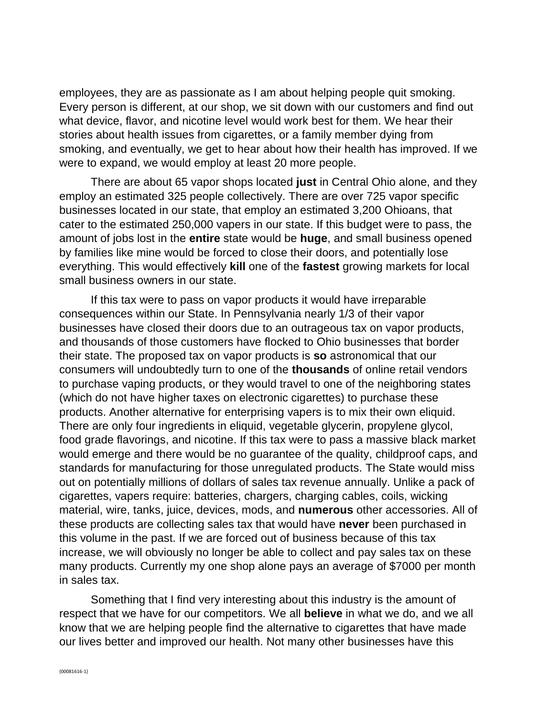employees, they are as passionate as I am about helping people quit smoking. Every person is different, at our shop, we sit down with our customers and find out what device, flavor, and nicotine level would work best for them. We hear their stories about health issues from cigarettes, or a family member dying from smoking, and eventually, we get to hear about how their health has improved. If we were to expand, we would employ at least 20 more people.

There are about 65 vapor shops located **just** in Central Ohio alone, and they employ an estimated 325 people collectively. There are over 725 vapor specific businesses located in our state, that employ an estimated 3,200 Ohioans, that cater to the estimated 250,000 vapers in our state. If this budget were to pass, the amount of jobs lost in the **entire** state would be **huge**, and small business opened by families like mine would be forced to close their doors, and potentially lose everything. This would effectively **kill** one of the **fastest** growing markets for local small business owners in our state.

If this tax were to pass on vapor products it would have irreparable consequences within our State. In Pennsylvania nearly 1/3 of their vapor businesses have closed their doors due to an outrageous tax on vapor products, and thousands of those customers have flocked to Ohio businesses that border their state. The proposed tax on vapor products is **so** astronomical that our consumers will undoubtedly turn to one of the **thousands** of online retail vendors to purchase vaping products, or they would travel to one of the neighboring states (which do not have higher taxes on electronic cigarettes) to purchase these products. Another alternative for enterprising vapers is to mix their own eliquid. There are only four ingredients in eliquid, vegetable glycerin, propylene glycol, food grade flavorings, and nicotine. If this tax were to pass a massive black market would emerge and there would be no guarantee of the quality, childproof caps, and standards for manufacturing for those unregulated products. The State would miss out on potentially millions of dollars of sales tax revenue annually. Unlike a pack of cigarettes, vapers require: batteries, chargers, charging cables, coils, wicking material, wire, tanks, juice, devices, mods, and **numerous** other accessories. All of these products are collecting sales tax that would have **never** been purchased in this volume in the past. If we are forced out of business because of this tax increase, we will obviously no longer be able to collect and pay sales tax on these many products. Currently my one shop alone pays an average of \$7000 per month in sales tax.

Something that I find very interesting about this industry is the amount of respect that we have for our competitors. We all **believe** in what we do, and we all know that we are helping people find the alternative to cigarettes that have made our lives better and improved our health. Not many other businesses have this